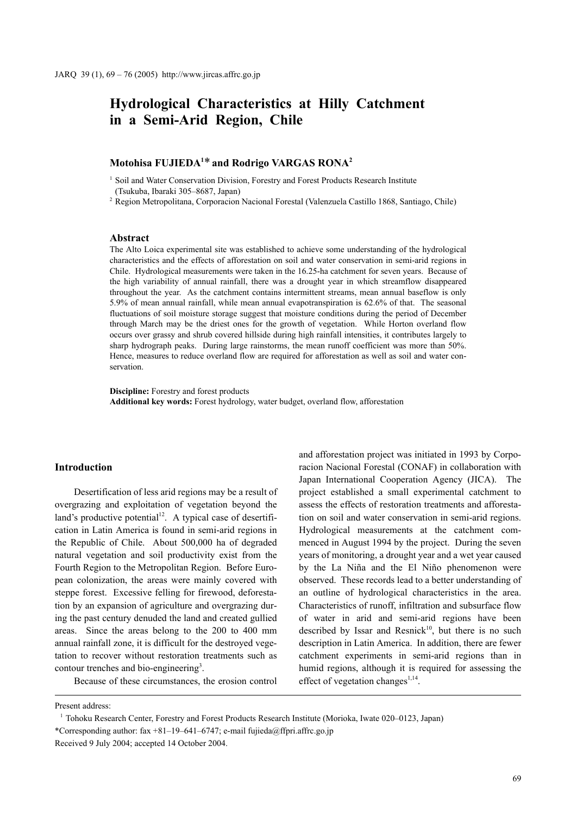# **Hydrological Characteristics at Hilly Catchment in a Semi-Arid Region, Chile**

# **Motohisa FUJIEDA1** \* **and Rodrigo VARGAS RONA2**

<sup>1</sup> Soil and Water Conservation Division, Forestry and Forest Products Research Institute (Tsukuba, Ibaraki 305–8687, Japan)

<sup>2</sup> Region Metropolitana, Corporacion Nacional Forestal (Valenzuela Castillo 1868, Santiago, Chile)

#### **Abstract**

The Alto Loica experimental site was established to achieve some understanding of the hydrological characteristics and the effects of afforestation on soil and water conservation in semi-arid regions in Chile. Hydrological measurements were taken in the 16.25-ha catchment for seven years. Because of the high variability of annual rainfall, there was a drought year in which streamflow disappeared throughout the year. As the catchment contains intermittent streams, mean annual baseflow is only 5.9% of mean annual rainfall, while mean annual evapotranspiration is 62.6% of that. The seasonal fluctuations of soil moisture storage suggest that moisture conditions during the period of December through March may be the driest ones for the growth of vegetation. While Horton overland flow occurs over grassy and shrub covered hillside during high rainfall intensities, it contributes largely to sharp hydrograph peaks. During large rainstorms, the mean runoff coefficient was more than 50%. Hence, measures to reduce overland flow are required for afforestation as well as soil and water conservation.

**Discipline:** Forestry and forest products **Additional key words:** Forest hydrology, water budget, overland flow, afforestation

#### **Introduction**

Desertification of less arid regions may be a result of overgrazing and exploitation of vegetation beyond the land's productive potential $12$ . A typical case of desertification in Latin America is found in semi-arid regions in the Republic of Chile. About 500,000 ha of degraded natural vegetation and soil productivity exist from the Fourth Region to the Metropolitan Region. Before European colonization, the areas were mainly covered with steppe forest. Excessive felling for firewood, deforestation by an expansion of agriculture and overgrazing during the past century denuded the land and created gullied areas. Since the areas belong to the 200 to 400 mm annual rainfall zone, it is difficult for the destroyed vegetation to recover without restoration treatments such as contour trenches and bio-engineering<sup>3</sup>.

Because of these circumstances, the erosion control

and afforestation project was initiated in 1993 by Corporacion Nacional Forestal (CONAF) in collaboration with Japan International Cooperation Agency (JICA). The project established a small experimental catchment to assess the effects of restoration treatments and afforestation on soil and water conservation in semi-arid regions. Hydrological measurements at the catchment commenced in August 1994 by the project. During the seven years of monitoring, a drought year and a wet year caused by the La Niña and the El Niño phenomenon were observed. These records lead to a better understanding of an outline of hydrological characteristics in the area. Characteristics of runoff, infiltration and subsurface flow of water in arid and semi-arid regions have been described by Issar and Resnick<sup>10</sup>, but there is no such description in Latin America. In addition, there are fewer catchment experiments in semi-arid regions than in humid regions, although it is required for assessing the effect of vegetation changes $^{1,14}$ .

Present address:

<sup>1</sup> Tohoku Research Center, Forestry and Forest Products Research Institute (Morioka, Iwate 020–0123, Japan) \*Corresponding author: fax +81–19–641–6747; e-mail fujieda@ffpri.affrc.go.jp Received 9 July 2004; accepted 14 October 2004.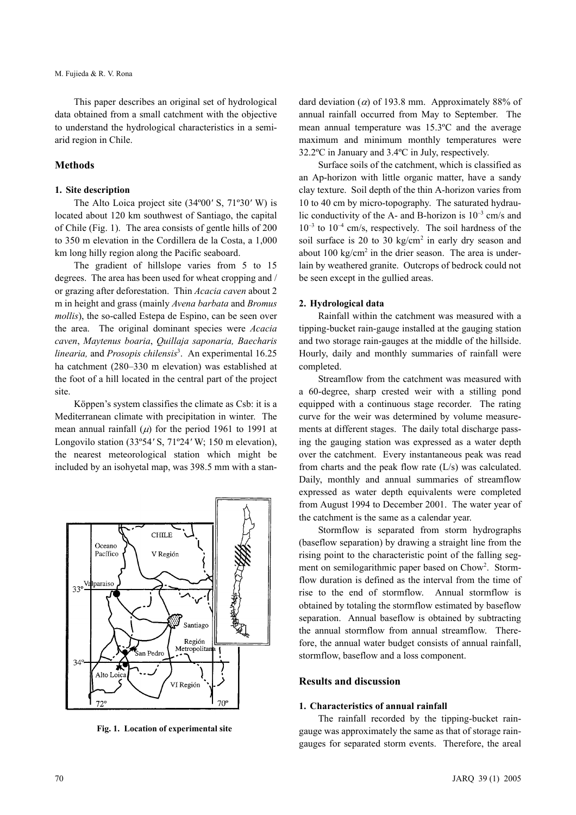This paper describes an original set of hydrological data obtained from a small catchment with the objective to understand the hydrological characteristics in a semiarid region in Chile.

# **Methods**

#### **1. Site description**

The Alto Loica project site (34º00*'* S, 71º30*'* W) is located about 120 km southwest of Santiago, the capital of Chile (Fig. 1). The area consists of gentle hills of 200 to 350 m elevation in the Cordillera de la Costa, a 1,000 km long hilly region along the Pacific seaboard.

The gradient of hillslope varies from 5 to 15 degrees. The area has been used for wheat cropping and / or grazing after deforestation. Thin *Acacia caven* about 2 m in height and grass (mainly *Avena barbata* and *Bromus mollis*), the so-called Estepa de Espino, can be seen over the area. The original dominant species were *Acacia caven*, *Maytenus boaria*, *Quillaja saponaria, Baecharis* linearia, and *Prosopis chilensis*<sup>3</sup>. An experimental 16.25 ha catchment (280–330 m elevation) was established at the foot of a hill located in the central part of the project site.

Köppen's system classifies the climate as Csb: it is a Mediterranean climate with precipitation in winter. The mean annual rainfall  $(\mu)$  for the period 1961 to 1991 at Longovilo station (33º54*'* S, 71º24*'* W; 150 m elevation), the nearest meteorological station which might be included by an isohyetal map, was 398.5 mm with a stan-



**Fig. 1. Location of experimental site**

dard deviation ( $\alpha$ ) of 193.8 mm. Approximately 88% of annual rainfall occurred from May to September. The mean annual temperature was 15.3ºC and the average maximum and minimum monthly temperatures were 32.2ºC in January and 3.4ºC in July, respectively.

Surface soils of the catchment, which is classified as an Ap-horizon with little organic matter, have a sandy clay texture. Soil depth of the thin A-horizon varies from 10 to 40 cm by micro-topography. The saturated hydraulic conductivity of the A- and B-horizon is  $10^{-3}$  cm/s and  $10^{-3}$  to  $10^{-4}$  cm/s, respectively. The soil hardness of the soil surface is 20 to 30 kg/cm<sup>2</sup> in early dry season and about  $100 \text{ kg/cm}^2$  in the drier season. The area is underlain by weathered granite. Outcrops of bedrock could not be seen except in the gullied areas.

#### **2. Hydrological data**

Rainfall within the catchment was measured with a tipping-bucket rain-gauge installed at the gauging station and two storage rain-gauges at the middle of the hillside. Hourly, daily and monthly summaries of rainfall were completed.

Streamflow from the catchment was measured with a 60-degree, sharp crested weir with a stilling pond equipped with a continuous stage recorder. The rating curve for the weir was determined by volume measurements at different stages. The daily total discharge passing the gauging station was expressed as a water depth over the catchment. Every instantaneous peak was read from charts and the peak flow rate (L/s) was calculated. Daily, monthly and annual summaries of streamflow expressed as water depth equivalents were completed from August 1994 to December 2001. The water year of the catchment is the same as a calendar year.

Stormflow is separated from storm hydrographs (baseflow separation) by drawing a straight line from the rising point to the characteristic point of the falling segment on semilogarithmic paper based on Chow<sup>2</sup>. Stormflow duration is defined as the interval from the time of rise to the end of stormflow. Annual stormflow is obtained by totaling the stormflow estimated by baseflow separation. Annual baseflow is obtained by subtracting the annual stormflow from annual streamflow. Therefore, the annual water budget consists of annual rainfall, stormflow, baseflow and a loss component.

### **Results and discussion**

#### **1. Characteristics of annual rainfall**

The rainfall recorded by the tipping-bucket raingauge was approximately the same as that of storage raingauges for separated storm events. Therefore, the areal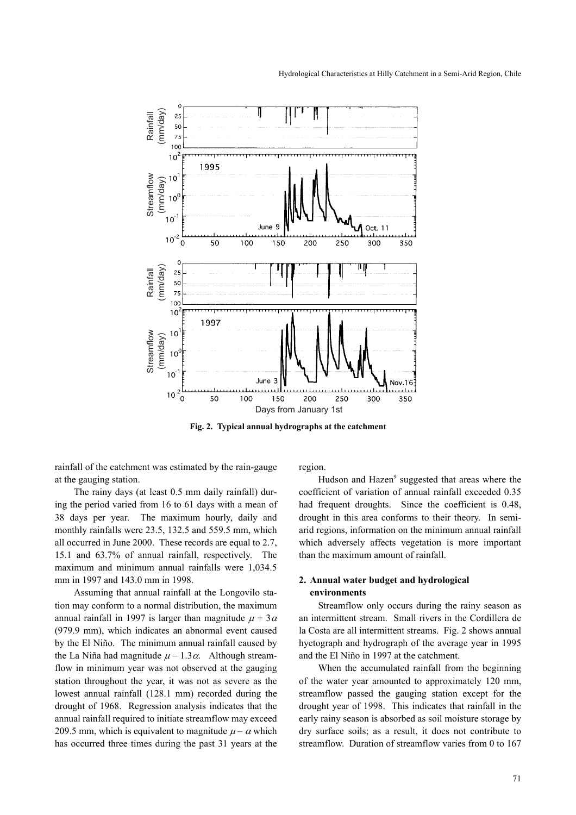

**Fig. 2. Typical annual hydrographs at the catchment**

rainfall of the catchment was estimated by the rain-gauge at the gauging station.

The rainy days (at least 0.5 mm daily rainfall) during the period varied from 16 to 61 days with a mean of 38 days per year. The maximum hourly, daily and monthly rainfalls were 23.5, 132.5 and 559.5 mm, which all occurred in June 2000. These records are equal to 2.7, 15.1 and 63.7% of annual rainfall, respectively. The maximum and minimum annual rainfalls were 1,034.5 mm in 1997 and 143.0 mm in 1998.

Assuming that annual rainfall at the Longovilo station may conform to a normal distribution, the maximum annual rainfall in 1997 is larger than magnitude  $\mu + 3\alpha$ (979.9 mm), which indicates an abnormal event caused by the El Niño. The minimum annual rainfall caused by the La Niña had magnitude  $\mu - 1.3\alpha$ . Although streamflow in minimum year was not observed at the gauging station throughout the year, it was not as severe as the lowest annual rainfall (128.1 mm) recorded during the drought of 1968. Regression analysis indicates that the annual rainfall required to initiate streamflow may exceed 209.5 mm, which is equivalent to magnitude  $\mu - \alpha$  which has occurred three times during the past 31 years at the region.

Hudson and Hazen<sup>9</sup> suggested that areas where the coefficient of variation of annual rainfall exceeded 0.35 had frequent droughts. Since the coefficient is 0.48, drought in this area conforms to their theory. In semiarid regions, information on the minimum annual rainfall which adversely affects vegetation is more important than the maximum amount of rainfall.

# **2. Annual water budget and hydrological environments**

Streamflow only occurs during the rainy season as an intermittent stream. Small rivers in the Cordillera de la Costa are all intermittent streams. Fig. 2 shows annual hyetograph and hydrograph of the average year in 1995 and the El Niño in 1997 at the catchment.

When the accumulated rainfall from the beginning of the water year amounted to approximately 120 mm, streamflow passed the gauging station except for the drought year of 1998. This indicates that rainfall in the early rainy season is absorbed as soil moisture storage by dry surface soils; as a result, it does not contribute to streamflow. Duration of streamflow varies from 0 to 167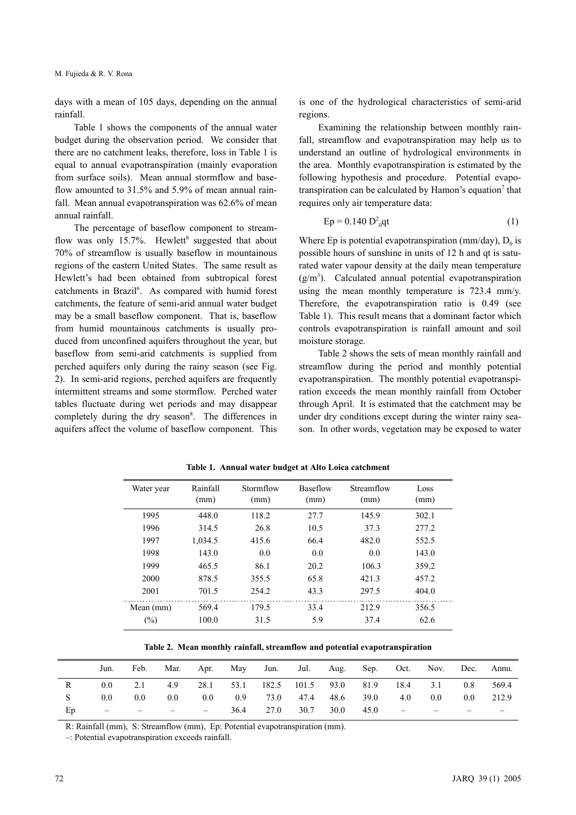days with a mean of 105 days, depending on the annual rainfall.

Table 1 shows the components of the annual water budget during the observation period. We consider that there are no catchment leaks, therefore, loss in Table 1 is equal to annual evapotranspiration (mainly evaporation from surface soils). Mean annual stormflow and baseflow amounted to 31.5% and 5.9% of mean annual rainfall. Mean annual evapotranspiration was 62.6% of mean annual rainfall.

The percentage of baseflow component to streamflow was only 15.7%. Hewlett<sup>8</sup> suggested that about 70% of streamflow is usually baseflow in mountainous regions of the eastern United States. The same result as Hewlett's had been obtained from subtropical forest catchments in Brazil<sup>6</sup>. As compared with humid forest catchments, the feature of semi-arid annual water budget may be a small baseflow component. That is, baseflow from humid mountainous catchments is usually produced from unconfined aquifers throughout the year, but baseflow from semi-arid catchments is supplied from perched aquifers only during the rainy season (see Fig. 2). In semi-arid regions, perched aquifers are frequently intermittent streams and some stormflow. Perched water tables fluctuate during wet periods and may disappear completely during the dry season<sup>8</sup>. The differences in aquifers affect the volume of baseflow component. This is one of the hydrological characteristics of semi-arid regions.

Examining the relationship between monthly rainfall, streamflow and evapotranspiration may help us to understand an outline of hydrological environments in the area. Monthly evapotranspiration is estimated by the following hypothesis and procedure. Potential evapotranspiration can be calculated by Hamon's equation<sup>7</sup> that requires only air temperature data:

$$
Ep = 0.140 D20qt
$$
 (1)

Where Ep is potential evapotranspiration (mm/day),  $D_0$  is possible hours of sunshine in units of 12 h and qt is saturated water vapour density at the daily mean temperature  $(g/m<sup>3</sup>)$ . Calculated annual potential evapotranspiration using the mean monthly temperature is 723.4 mm/y. Therefore, the evapotranspiration ratio is 0.49 (see Table 1). This result means that a dominant factor which controls evapotranspiration is rainfall amount and soil moisture storage.

Table 2 shows the sets of mean monthly rainfall and streamflow during the period and monthly potential evapotranspiration. The monthly potential evapotranspiration exceeds the mean monthly rainfall from October through April. It is estimated that the catchment may be under dry conditions except during the winter rainy season. In other words, vegetation may be exposed to water

| Water year | Rainfall<br>(mm) | Stormflow<br>(mm) | Baseflow<br>(mm) | Streamflow<br>(mm) | Loss<br>(mm) |
|------------|------------------|-------------------|------------------|--------------------|--------------|
| 1995       | 448.0            | 118.2             | 27.7             | 145.9              | 302.1        |
| 1996       | 314.5            | 26.8              | 10.5             | 37.3               | 277.2        |
| 1997       | 1,034.5          | 415.6             | 66.4             | 482.0              | 552.5        |
| 1998       | 143.0            | 0.0               | 0.0              | 0.0                | 143.0        |
| 1999       | 465.5            | 86.1              | 20.2             | 106.3              | 359.2        |
| 2000       | 878.5            | 355.5             | 65.8             | 421.3              | 457.2        |
| 2001       | 701.5            | 254.2             | 43.3             | 297.5              | 404.0        |
| Mean (mm)  | 569.4            | 179.5             | 33.4             | 212.9              | 356.5        |
| $(\%)$     | 100.0            | 31.5              | 5.9              | 37.4               | 62.6         |

**Table 1. Annual water budget at Alto Loica catchment**

**Table 2. Mean monthly rainfall, streamflow and potential evapotranspiration**

|    | Jun.                     | Feb.             |         |        |      |            |           |      |                |                                                                                               | Mar. Apr. May Jun. Jul. Aug. Sep. Oct. Nov. Dec. Annu. |     |       |
|----|--------------------------|------------------|---------|--------|------|------------|-----------|------|----------------|-----------------------------------------------------------------------------------------------|--------------------------------------------------------|-----|-------|
|    | 0.0 <sub>1</sub>         | 2.1              |         |        |      |            |           |      |                |                                                                                               | 4.9 28.1 53.1 182.5 101.5 93.0 81.9 18.4 3.1           | 0.8 | 569.4 |
|    | 0.0 <sub>1</sub>         | 0.0 <sub>1</sub> | $0.0\,$ | 0.0    |      | $0.9$ 73.0 |           |      | 47.4 48.6 39.0 | 4.0                                                                                           | 0.0                                                    | 0.0 | 212.9 |
| Ep | the contract of the con- |                  |         | $\sim$ | 36.4 |            | 27.0 30.7 | 30.0 | 45.0           | $\mathcal{L}(\mathcal{L}) = \mathcal{L}(\mathcal{L})$ . The set of $\mathcal{L}(\mathcal{L})$ | $\overline{\phantom{a}}$                               |     |       |

R: Rainfall (mm), S: Streamflow (mm), Ep: Potential evapotranspiration (mm).

–: Potential evapotranspiration exceeds rainfall.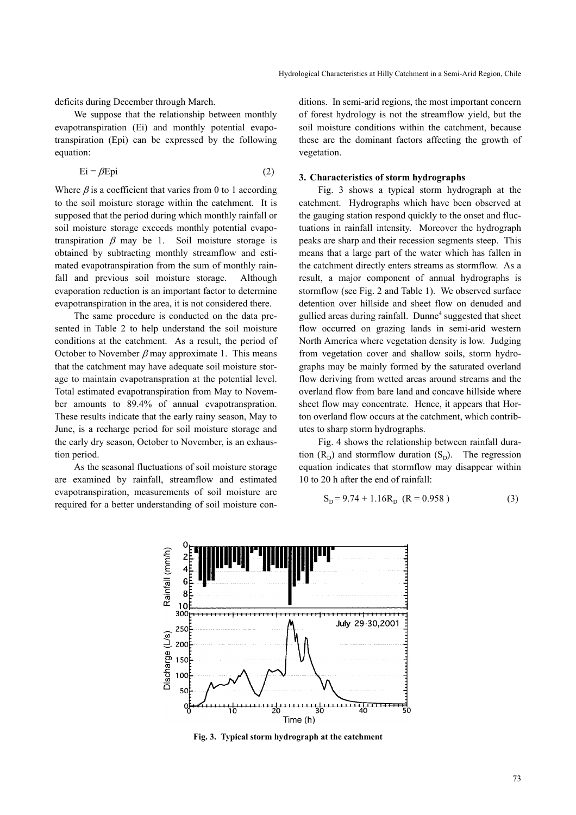deficits during December through March.

We suppose that the relationship between monthly evapotranspiration (Ei) and monthly potential evapotranspiration (Epi) can be expressed by the following equation:

$$
Ei = \beta Epi \tag{2}
$$

Where  $\beta$  is a coefficient that varies from 0 to 1 according to the soil moisture storage within the catchment. It is supposed that the period during which monthly rainfall or soil moisture storage exceeds monthly potential evapotranspiration  $\beta$  may be 1. Soil moisture storage is obtained by subtracting monthly streamflow and estimated evapotranspiration from the sum of monthly rainfall and previous soil moisture storage. Although evaporation reduction is an important factor to determine evapotranspiration in the area, it is not considered there.

The same procedure is conducted on the data presented in Table 2 to help understand the soil moisture conditions at the catchment. As a result, the period of October to November  $\beta$  may approximate 1. This means that the catchment may have adequate soil moisture storage to maintain evapotranspration at the potential level. Total estimated evapotranspiration from May to November amounts to 89.4% of annual evapotranspration. These results indicate that the early rainy season, May to June, is a recharge period for soil moisture storage and the early dry season, October to November, is an exhaustion period.

As the seasonal fluctuations of soil moisture storage are examined by rainfall, streamflow and estimated evapotranspiration, measurements of soil moisture are required for a better understanding of soil moisture conditions. In semi-arid regions, the most important concern of forest hydrology is not the streamflow yield, but the soil moisture conditions within the catchment, because these are the dominant factors affecting the growth of vegetation.

### **3. Characteristics of storm hydrographs**

Fig. 3 shows a typical storm hydrograph at the catchment. Hydrographs which have been observed at the gauging station respond quickly to the onset and fluctuations in rainfall intensity. Moreover the hydrograph peaks are sharp and their recession segments steep. This means that a large part of the water which has fallen in the catchment directly enters streams as stormflow. As a result, a major component of annual hydrographs is stormflow (see Fig. 2 and Table 1). We observed surface detention over hillside and sheet flow on denuded and gullied areas during rainfall. Dunne<sup>4</sup> suggested that sheet flow occurred on grazing lands in semi-arid western North America where vegetation density is low. Judging from vegetation cover and shallow soils, storm hydrographs may be mainly formed by the saturated overland flow deriving from wetted areas around streams and the overland flow from bare land and concave hillside where sheet flow may concentrate. Hence, it appears that Horton overland flow occurs at the catchment, which contributes to sharp storm hydrographs.

Fig. 4 shows the relationship between rainfall duration  $(R_D)$  and stormflow duration  $(S_D)$ . The regression equation indicates that stormflow may disappear within 10 to 20 h after the end of rainfall:

$$
S_{D} = 9.74 + 1.16R_{D} \ (R = 0.958)
$$
 (3)



**Fig. 3. Typical storm hydrograph at the catchment**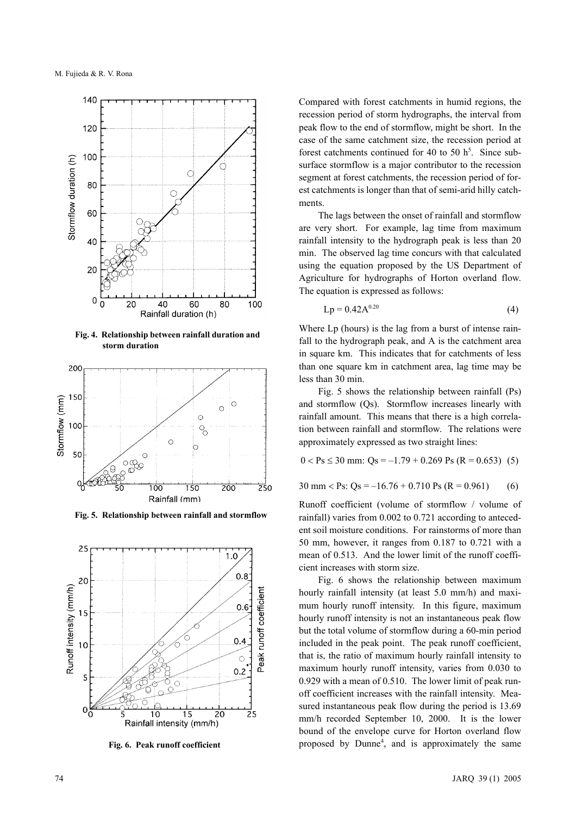

**Fig. 4. Relationship between rainfall duration and storm duration**



**Fig. 5. Relationship between rainfall and stormflow**



**Fig. 6. Peak runoff coefficient**

Compared with forest catchments in humid regions, the recession period of storm hydrographs, the interval from peak flow to the end of stormflow, might be short. In the case of the same catchment size, the recession period at forest catchments continued for 40 to 50  $h^5$ . Since subsurface stormflow is a major contributor to the recession segment at forest catchments, the recession period of forest catchments is longer than that of semi-arid hilly catchments.

The lags between the onset of rainfall and stormflow are very short. For example, lag time from maximum rainfall intensity to the hydrograph peak is less than 20 min. The observed lag time concurs with that calculated using the equation proposed by the US Department of Agriculture for hydrographs of Horton overland flow. The equation is expressed as follows:

$$
Lp = 0.42A^{0.20}
$$
 (4)

Where Lp (hours) is the lag from a burst of intense rainfall to the hydrograph peak, and A is the catchment area in square km. This indicates that for catchments of less than one square km in catchment area, lag time may be less than 30 min.

Fig. 5 shows the relationship between rainfall (Ps) and stormflow (Qs). Stormflow increases linearly with rainfall amount. This means that there is a high correlation between rainfall and stormflow. The relations were approximately expressed as two straight lines:

$$
0 < Ps \le 30 \text{ mm: Qs} = -1.79 + 0.269 \text{ Ps (R} = 0.653) \tag{5}
$$

 $30 \text{ mm} <$  Ps:  $\text{Os} = -16.76 + 0.710 \text{ Ps}$  (R = 0.961) (6)

Runoff coefficient (volume of stormflow / volume of rainfall) varies from 0.002 to 0.721 according to antecedent soil moisture conditions. For rainstorms of more than 50 mm, however, it ranges from 0.187 to 0.721 with a mean of 0.513. And the lower limit of the runoff coefficient increases with storm size.

Fig. 6 shows the relationship between maximum hourly rainfall intensity (at least 5.0 mm/h) and maximum hourly runoff intensity. In this figure, maximum hourly runoff intensity is not an instantaneous peak flow but the total volume of stormflow during a 60-min period included in the peak point. The peak runoff coefficient, that is, the ratio of maximum hourly rainfall intensity to maximum hourly runoff intensity, varies from 0.030 to 0.929 with a mean of 0.510. The lower limit of peak runoff coefficient increases with the rainfall intensity. Measured instantaneous peak flow during the period is 13.69 mm/h recorded September 10, 2000. It is the lower bound of the envelope curve for Horton overland flow proposed by Dunne4 , and is approximately the same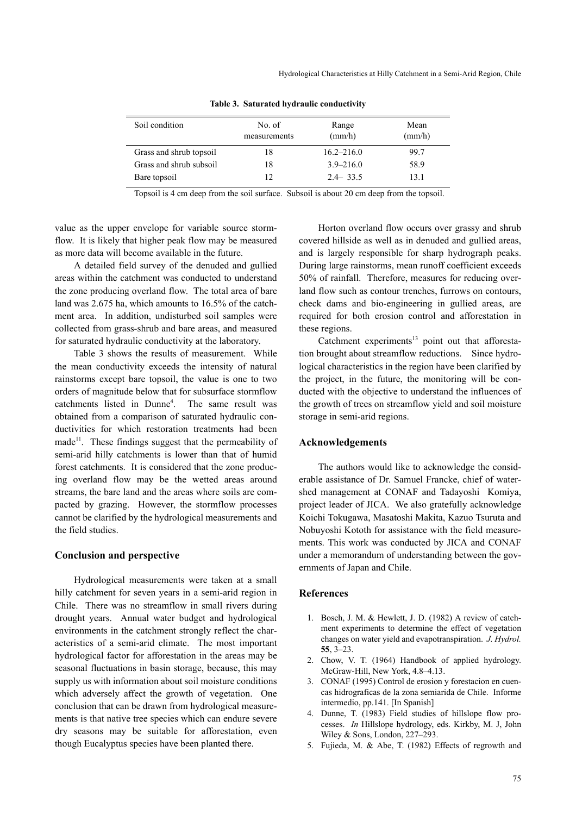| Soil condition          | No. of<br>measurements | Range<br>(mm/h) | Mean<br>$\text{(mm/h)}$ |
|-------------------------|------------------------|-----------------|-------------------------|
| Grass and shrub topsoil | 18                     | $16.2 - 216.0$  | 99.7                    |
| Grass and shrub subsoil | 18                     | $3.9 - 216.0$   | 58.9                    |
| Bare topsoil            | 12                     | $2.4 - 33.5$    | 13.1                    |

**Table 3. Saturated hydraulic conductivity**

Topsoil is 4 cm deep from the soil surface. Subsoil is about 20 cm deep from the topsoil.

value as the upper envelope for variable source stormflow. It is likely that higher peak flow may be measured as more data will become available in the future.

A detailed field survey of the denuded and gullied areas within the catchment was conducted to understand the zone producing overland flow. The total area of bare land was 2.675 ha, which amounts to 16.5% of the catchment area. In addition, undisturbed soil samples were collected from grass-shrub and bare areas, and measured for saturated hydraulic conductivity at the laboratory.

Table 3 shows the results of measurement. While the mean conductivity exceeds the intensity of natural rainstorms except bare topsoil, the value is one to two orders of magnitude below that for subsurface stormflow catchments listed in Dunne4 . The same result was obtained from a comparison of saturated hydraulic conductivities for which restoration treatments had been  $made<sup>11</sup>$ . These findings suggest that the permeability of semi-arid hilly catchments is lower than that of humid forest catchments. It is considered that the zone producing overland flow may be the wetted areas around streams, the bare land and the areas where soils are compacted by grazing. However, the stormflow processes cannot be clarified by the hydrological measurements and the field studies.

# **Conclusion and perspective**

Hydrological measurements were taken at a small hilly catchment for seven years in a semi-arid region in Chile. There was no streamflow in small rivers during drought years. Annual water budget and hydrological environments in the catchment strongly reflect the characteristics of a semi-arid climate. The most important hydrological factor for afforestation in the areas may be seasonal fluctuations in basin storage, because, this may supply us with information about soil moisture conditions which adversely affect the growth of vegetation. One conclusion that can be drawn from hydrological measurements is that native tree species which can endure severe dry seasons may be suitable for afforestation, even though Eucalyptus species have been planted there.

Horton overland flow occurs over grassy and shrub covered hillside as well as in denuded and gullied areas, and is largely responsible for sharp hydrograph peaks. During large rainstorms, mean runoff coefficient exceeds 50% of rainfall. Therefore, measures for reducing overland flow such as contour trenches, furrows on contours, check dams and bio-engineering in gullied areas, are required for both erosion control and afforestation in these regions.

Catchment experiments $13$  point out that afforestation brought about streamflow reductions. Since hydrological characteristics in the region have been clarified by the project, in the future, the monitoring will be conducted with the objective to understand the influences of the growth of trees on streamflow yield and soil moisture storage in semi-arid regions.

### **Acknowledgements**

The authors would like to acknowledge the considerable assistance of Dr. Samuel Francke, chief of watershed management at CONAF and Tadayoshi Komiya, project leader of JICA. We also gratefully acknowledge Koichi Tokugawa, Masatoshi Makita, Kazuo Tsuruta and Nobuyoshi Kototh for assistance with the field measurements. This work was conducted by JICA and CONAF under a memorandum of understanding between the governments of Japan and Chile.

# **References**

- 1. Bosch, J. M. & Hewlett, J. D. (1982) A review of catchment experiments to determine the effect of vegetation changes on water yield and evapotranspiration. *J. Hydrol.* **55**, 3–23.
- 2. Chow, V. T. (1964) Handbook of applied hydrology. McGraw-Hill, New York, 4.8–4.13.
- 3. CONAF (1995) Control de erosion y forestacion en cuencas hidrograficas de la zona semiarida de Chile. Informe intermedio, pp.141. [In Spanish]
- 4. Dunne, T. (1983) Field studies of hillslope flow processes. *In* Hillslope hydrology, eds. Kirkby, M. J, John Wiley & Sons, London, 227–293.
- 5. Fujieda, M. & Abe, T. (1982) Effects of regrowth and